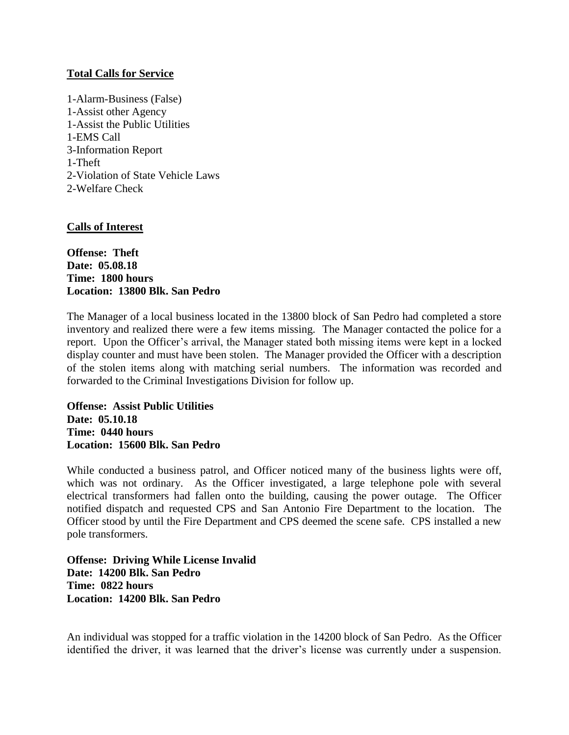## **Total Calls for Service**

1-Alarm-Business (False) 1-Assist other Agency 1-Assist the Public Utilities 1-EMS Call 3-Information Report 1-Theft 2-Violation of State Vehicle Laws 2-Welfare Check

## **Calls of Interest**

**Offense: Theft Date: 05.08.18 Time: 1800 hours Location: 13800 Blk. San Pedro**

The Manager of a local business located in the 13800 block of San Pedro had completed a store inventory and realized there were a few items missing. The Manager contacted the police for a report. Upon the Officer's arrival, the Manager stated both missing items were kept in a locked display counter and must have been stolen. The Manager provided the Officer with a description of the stolen items along with matching serial numbers. The information was recorded and forwarded to the Criminal Investigations Division for follow up.

**Offense: Assist Public Utilities Date: 05.10.18 Time: 0440 hours Location: 15600 Blk. San Pedro**

While conducted a business patrol, and Officer noticed many of the business lights were off, which was not ordinary. As the Officer investigated, a large telephone pole with several electrical transformers had fallen onto the building, causing the power outage. The Officer notified dispatch and requested CPS and San Antonio Fire Department to the location. The Officer stood by until the Fire Department and CPS deemed the scene safe. CPS installed a new pole transformers.

**Offense: Driving While License Invalid Date: 14200 Blk. San Pedro Time: 0822 hours Location: 14200 Blk. San Pedro**

An individual was stopped for a traffic violation in the 14200 block of San Pedro. As the Officer identified the driver, it was learned that the driver's license was currently under a suspension.